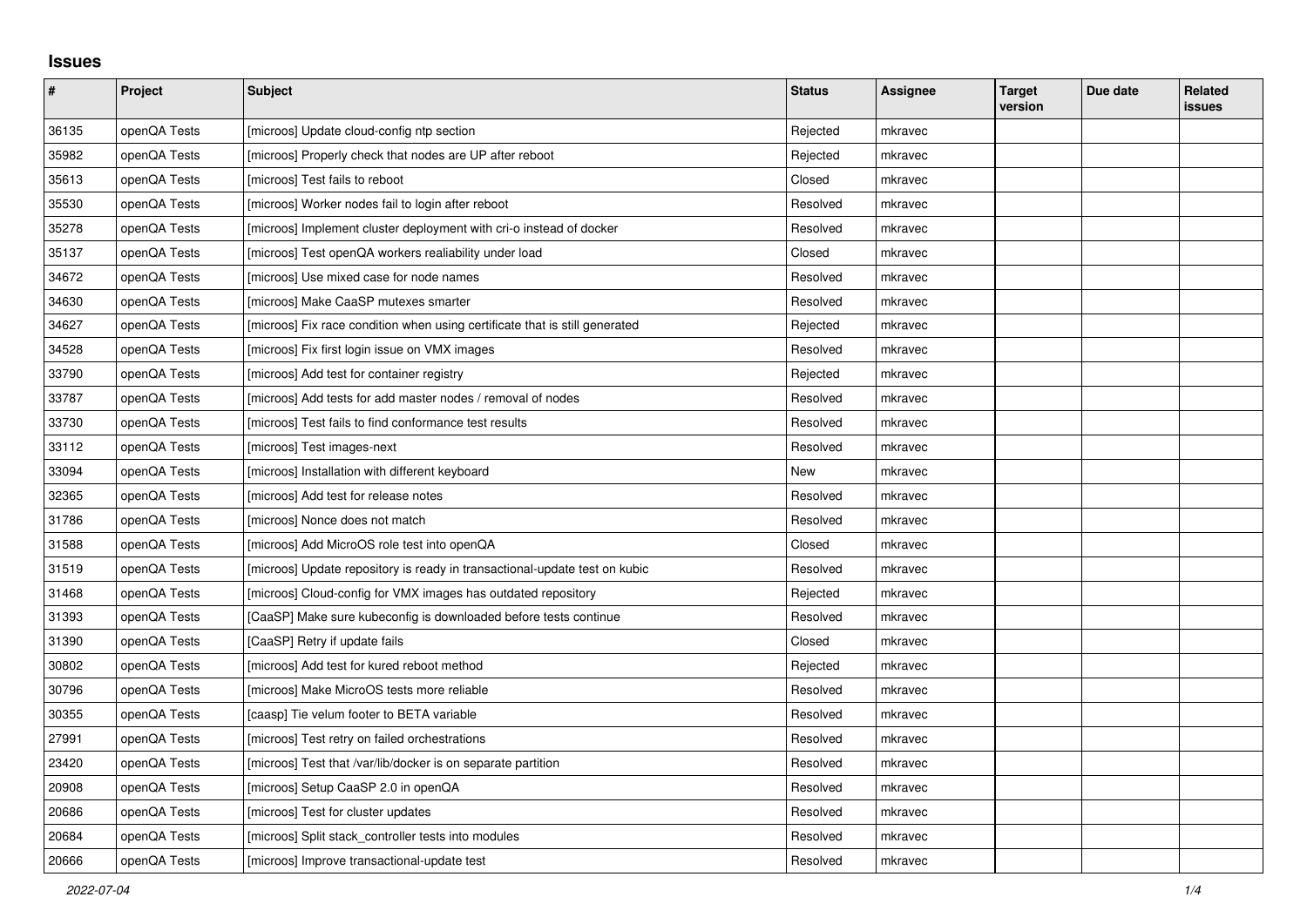## **Issues**

| #     | Project      | <b>Subject</b>                                                              | <b>Status</b> | <b>Assignee</b> | <b>Target</b><br>version | Due date | Related<br>issues |
|-------|--------------|-----------------------------------------------------------------------------|---------------|-----------------|--------------------------|----------|-------------------|
| 36135 | openQA Tests | [microos] Update cloud-config ntp section                                   | Rejected      | mkravec         |                          |          |                   |
| 35982 | openQA Tests | [microos] Properly check that nodes are UP after reboot                     | Rejected      | mkravec         |                          |          |                   |
| 35613 | openQA Tests | [microos] Test fails to reboot                                              | Closed        | mkravec         |                          |          |                   |
| 35530 | openQA Tests | [microos] Worker nodes fail to login after reboot                           | Resolved      | mkravec         |                          |          |                   |
| 35278 | openQA Tests | [microos] Implement cluster deployment with cri-o instead of docker         | Resolved      | mkravec         |                          |          |                   |
| 35137 | openQA Tests | [microos] Test openQA workers realiability under load                       | Closed        | mkravec         |                          |          |                   |
| 34672 | openQA Tests | [microos] Use mixed case for node names                                     | Resolved      | mkravec         |                          |          |                   |
| 34630 | openQA Tests | [microos] Make CaaSP mutexes smarter                                        | Resolved      | mkravec         |                          |          |                   |
| 34627 | openQA Tests | [microos] Fix race condition when using certificate that is still generated | Rejected      | mkravec         |                          |          |                   |
| 34528 | openQA Tests | [microos] Fix first login issue on VMX images                               | Resolved      | mkravec         |                          |          |                   |
| 33790 | openQA Tests | [microos] Add test for container registry                                   | Rejected      | mkravec         |                          |          |                   |
| 33787 | openQA Tests | [microos] Add tests for add master nodes / removal of nodes                 | Resolved      | mkravec         |                          |          |                   |
| 33730 | openQA Tests | [microos] Test fails to find conformance test results                       | Resolved      | mkravec         |                          |          |                   |
| 33112 | openQA Tests | [microos] Test images-next                                                  | Resolved      | mkravec         |                          |          |                   |
| 33094 | openQA Tests | [microos] Installation with different keyboard                              | New           | mkravec         |                          |          |                   |
| 32365 | openQA Tests | [microos] Add test for release notes                                        | Resolved      | mkravec         |                          |          |                   |
| 31786 | openQA Tests | [microos] Nonce does not match                                              | Resolved      | mkravec         |                          |          |                   |
| 31588 | openQA Tests | [microos] Add MicroOS role test into openQA                                 | Closed        | mkravec         |                          |          |                   |
| 31519 | openQA Tests | [microos] Update repository is ready in transactional-update test on kubic  | Resolved      | mkravec         |                          |          |                   |
| 31468 | openQA Tests | [microos] Cloud-config for VMX images has outdated repository               | Rejected      | mkravec         |                          |          |                   |
| 31393 | openQA Tests | [CaaSP] Make sure kubeconfig is downloaded before tests continue            | Resolved      | mkravec         |                          |          |                   |
| 31390 | openQA Tests | [CaaSP] Retry if update fails                                               | Closed        | mkravec         |                          |          |                   |
| 30802 | openQA Tests | [microos] Add test for kured reboot method                                  | Rejected      | mkravec         |                          |          |                   |
| 30796 | openQA Tests | [microos] Make MicroOS tests more reliable                                  | Resolved      | mkravec         |                          |          |                   |
| 30355 | openQA Tests | [caasp] Tie velum footer to BETA variable                                   | Resolved      | mkravec         |                          |          |                   |
| 27991 | openQA Tests | [microos] Test retry on failed orchestrations                               | Resolved      | mkravec         |                          |          |                   |
| 23420 | openQA Tests | [microos] Test that /var/lib/docker is on separate partition                | Resolved      | mkravec         |                          |          |                   |
| 20908 | openQA Tests | [microos] Setup CaaSP 2.0 in openQA                                         | Resolved      | mkravec         |                          |          |                   |
| 20686 | openQA Tests | [microos] Test for cluster updates                                          | Resolved      | mkravec         |                          |          |                   |
| 20684 | openQA Tests | [microos] Split stack controller tests into modules                         | Resolved      | mkravec         |                          |          |                   |
| 20666 | openQA Tests | [microos] Improve transactional-update test                                 | Resolved      | mkravec         |                          |          |                   |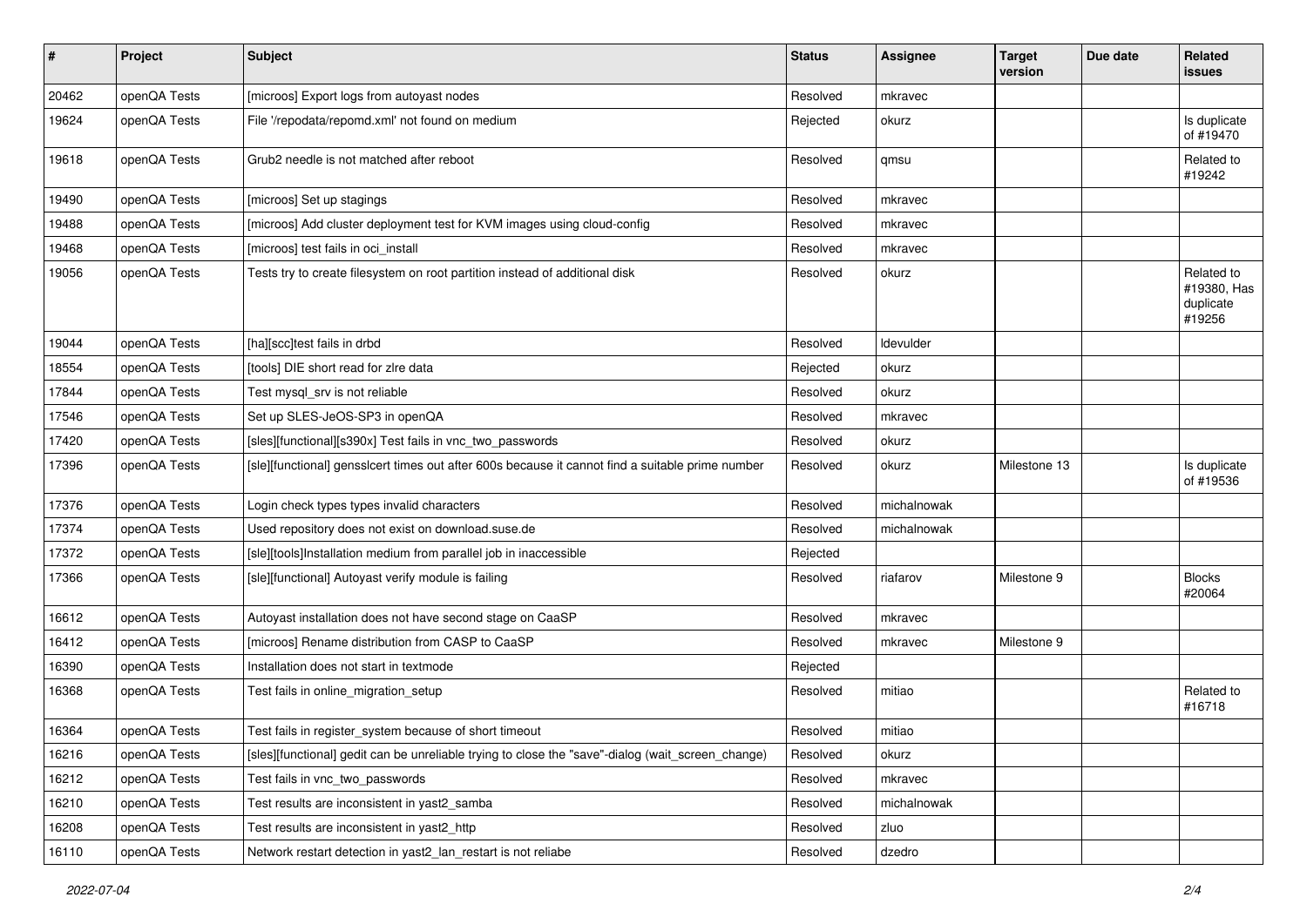| $\sharp$ | Project      | <b>Subject</b>                                                                                    | <b>Status</b> | <b>Assignee</b> | <b>Target</b><br>version | Due date | Related<br><b>issues</b>                         |
|----------|--------------|---------------------------------------------------------------------------------------------------|---------------|-----------------|--------------------------|----------|--------------------------------------------------|
| 20462    | openQA Tests | [microos] Export logs from autoyast nodes                                                         | Resolved      | mkravec         |                          |          |                                                  |
| 19624    | openQA Tests | File '/repodata/repomd.xml' not found on medium                                                   | Rejected      | okurz           |                          |          | Is duplicate<br>of #19470                        |
| 19618    | openQA Tests | Grub2 needle is not matched after reboot                                                          | Resolved      | qmsu            |                          |          | Related to<br>#19242                             |
| 19490    | openQA Tests | [microos] Set up stagings                                                                         | Resolved      | mkravec         |                          |          |                                                  |
| 19488    | openQA Tests | [microos] Add cluster deployment test for KVM images using cloud-config                           | Resolved      | mkravec         |                          |          |                                                  |
| 19468    | openQA Tests | [microos] test fails in oci_install                                                               | Resolved      | mkravec         |                          |          |                                                  |
| 19056    | openQA Tests | Tests try to create filesystem on root partition instead of additional disk                       | Resolved      | okurz           |                          |          | Related to<br>#19380, Has<br>duplicate<br>#19256 |
| 19044    | openQA Tests | [ha][scc]test fails in drbd                                                                       | Resolved      | ldevulder       |                          |          |                                                  |
| 18554    | openQA Tests | [tools] DIE short read for zire data                                                              | Rejected      | okurz           |                          |          |                                                  |
| 17844    | openQA Tests | Test mysql_srv is not reliable                                                                    | Resolved      | okurz           |                          |          |                                                  |
| 17546    | openQA Tests | Set up SLES-JeOS-SP3 in openQA                                                                    | Resolved      | mkravec         |                          |          |                                                  |
| 17420    | openQA Tests | [sles][functional][s390x] Test fails in vnc_two_passwords                                         | Resolved      | okurz           |                          |          |                                                  |
| 17396    | openQA Tests | [sle][functional] gensslcert times out after 600s because it cannot find a suitable prime number  | Resolved      | okurz           | Milestone 13             |          | Is duplicate<br>of #19536                        |
| 17376    | openQA Tests | Login check types types invalid characters                                                        | Resolved      | michalnowak     |                          |          |                                                  |
| 17374    | openQA Tests | Used repository does not exist on download.suse.de                                                | Resolved      | michalnowak     |                          |          |                                                  |
| 17372    | openQA Tests | [sle][tools]Installation medium from parallel job in inaccessible                                 | Rejected      |                 |                          |          |                                                  |
| 17366    | openQA Tests | [sle][functional] Autoyast verify module is failing                                               | Resolved      | riafarov        | Milestone 9              |          | <b>Blocks</b><br>#20064                          |
| 16612    | openQA Tests | Autoyast installation does not have second stage on CaaSP                                         | Resolved      | mkravec         |                          |          |                                                  |
| 16412    | openQA Tests | [microos] Rename distribution from CASP to CaaSP                                                  | Resolved      | mkravec         | Milestone 9              |          |                                                  |
| 16390    | openQA Tests | Installation does not start in textmode                                                           | Rejected      |                 |                          |          |                                                  |
| 16368    | openQA Tests | Test fails in online_migration_setup                                                              | Resolved      | mitiao          |                          |          | Related to<br>#16718                             |
| 16364    | openQA Tests | Test fails in register_system because of short timeout                                            | Resolved      | mitiao          |                          |          |                                                  |
| 16216    | openQA Tests | [sles][functional] gedit can be unreliable trying to close the "save"-dialog (wait_screen_change) | Resolved      | okurz           |                          |          |                                                  |
| 16212    | openQA Tests | Test fails in vnc_two_passwords                                                                   | Resolved      | mkravec         |                          |          |                                                  |
| 16210    | openQA Tests | Test results are inconsistent in yast2_samba                                                      | Resolved      | michalnowak     |                          |          |                                                  |
| 16208    | openQA Tests | Test results are inconsistent in yast2 http                                                       | Resolved      | zluo            |                          |          |                                                  |
| 16110    | openQA Tests | Network restart detection in yast2_lan_restart is not reliabe                                     | Resolved      | dzedro          |                          |          |                                                  |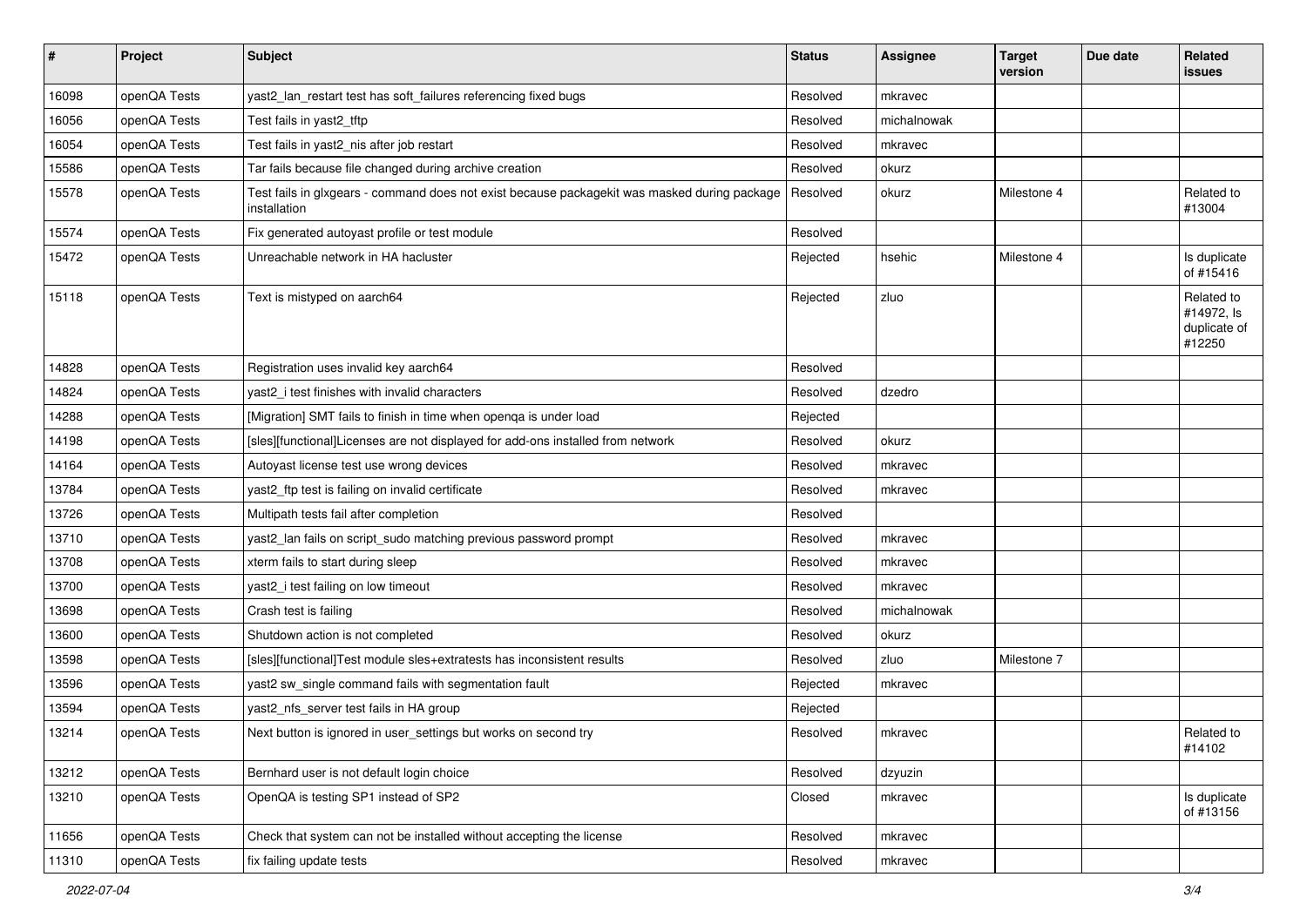| $\sharp$ | Project      | <b>Subject</b>                                                                                               | <b>Status</b> | <b>Assignee</b> | <b>Target</b><br>version | Due date | Related<br>issues                                  |
|----------|--------------|--------------------------------------------------------------------------------------------------------------|---------------|-----------------|--------------------------|----------|----------------------------------------------------|
| 16098    | openQA Tests | yast2_lan_restart test has soft_failures referencing fixed bugs                                              | Resolved      | mkravec         |                          |          |                                                    |
| 16056    | openQA Tests | Test fails in yast2_tftp                                                                                     | Resolved      | michalnowak     |                          |          |                                                    |
| 16054    | openQA Tests | Test fails in yast2_nis after job restart                                                                    | Resolved      | mkravec         |                          |          |                                                    |
| 15586    | openQA Tests | Tar fails because file changed during archive creation                                                       | Resolved      | okurz           |                          |          |                                                    |
| 15578    | openQA Tests | Test fails in glxgears - command does not exist because packagekit was masked during package<br>installation | Resolved      | okurz           | Milestone 4              |          | Related to<br>#13004                               |
| 15574    | openQA Tests | Fix generated autoyast profile or test module                                                                | Resolved      |                 |                          |          |                                                    |
| 15472    | openQA Tests | Unreachable network in HA hacluster                                                                          | Rejected      | hsehic          | Milestone 4              |          | Is duplicate<br>of #15416                          |
| 15118    | openQA Tests | Text is mistyped on aarch64                                                                                  | Rejected      | zluo            |                          |          | Related to<br>#14972, ls<br>duplicate of<br>#12250 |
| 14828    | openQA Tests | Registration uses invalid key aarch64                                                                        | Resolved      |                 |                          |          |                                                    |
| 14824    | openQA Tests | yast2_i test finishes with invalid characters                                                                | Resolved      | dzedro          |                          |          |                                                    |
| 14288    | openQA Tests | [Migration] SMT fails to finish in time when openga is under load                                            | Rejected      |                 |                          |          |                                                    |
| 14198    | openQA Tests | [sles][functional]Licenses are not displayed for add-ons installed from network                              | Resolved      | okurz           |                          |          |                                                    |
| 14164    | openQA Tests | Autoyast license test use wrong devices                                                                      | Resolved      | mkravec         |                          |          |                                                    |
| 13784    | openQA Tests | yast2_ftp test is failing on invalid certificate                                                             | Resolved      | mkravec         |                          |          |                                                    |
| 13726    | openQA Tests | Multipath tests fail after completion                                                                        | Resolved      |                 |                          |          |                                                    |
| 13710    | openQA Tests | yast2_lan fails on script_sudo matching previous password prompt                                             | Resolved      | mkravec         |                          |          |                                                    |
| 13708    | openQA Tests | xterm fails to start during sleep                                                                            | Resolved      | mkravec         |                          |          |                                                    |
| 13700    | openQA Tests | yast2_i test failing on low timeout                                                                          | Resolved      | mkravec         |                          |          |                                                    |
| 13698    | openQA Tests | Crash test is failing                                                                                        | Resolved      | michalnowak     |                          |          |                                                    |
| 13600    | openQA Tests | Shutdown action is not completed                                                                             | Resolved      | okurz           |                          |          |                                                    |
| 13598    | openQA Tests | [sles][functional]Test module sles+extratests has inconsistent results                                       | Resolved      | zluo            | Milestone 7              |          |                                                    |
| 13596    | openQA Tests | yast2 sw_single command fails with segmentation fault                                                        | Rejected      | mkravec         |                          |          |                                                    |
| 13594    | openQA Tests | yast2_nfs_server test fails in HA group                                                                      | Rejected      |                 |                          |          |                                                    |
| 13214    | openQA Tests | Next button is ignored in user settings but works on second try                                              | Resolved      | mkravec         |                          |          | Related to<br>#14102                               |
| 13212    | openQA Tests | Bernhard user is not default login choice                                                                    | Resolved      | dzyuzin         |                          |          |                                                    |
| 13210    | openQA Tests | OpenQA is testing SP1 instead of SP2                                                                         | Closed        | mkravec         |                          |          | Is duplicate<br>of #13156                          |
| 11656    | openQA Tests | Check that system can not be installed without accepting the license                                         | Resolved      | mkravec         |                          |          |                                                    |
| 11310    | openQA Tests | fix failing update tests                                                                                     | Resolved      | mkravec         |                          |          |                                                    |